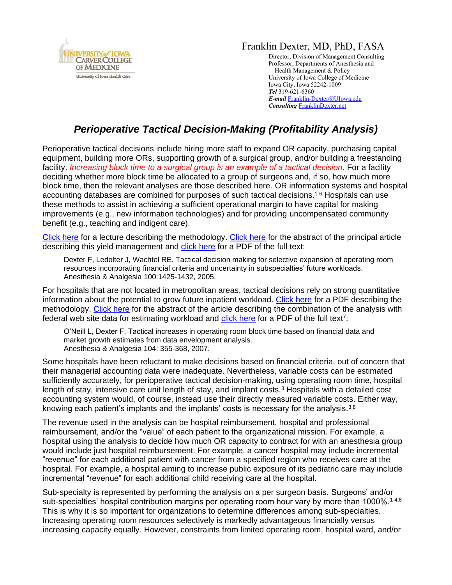

## Franklin Dexter, MD, PhD, FASA

Director, Division of Management Consulting Professor, Departments of Anesthesia and Health Management & Policy University of Iowa College of Medicine Iowa City, Iowa 52242-1009 *Tel* 319-621-6360 *E-mail* [Franklin-Dexter@UIowa.edu](mailto:Franklin-Dexter@UIowa.edu?subject=Financial%20Analysis) *Consulting* [FranklinDexter.net](https://franklindexter.net/)

## *Perioperative Tactical Decision-Making (Profitability Analysis)*

Perioperative tactical decisions include hiring more staff to expand OR capacity, purchasing capital equipment, building more ORs, supporting growth of a surgical group, and/or building a freestanding facility. *Increasing block time to a surgical group is an example of a tactical decision*. For a facility deciding whether more block time be allocated to a group of surgeons and, if so, how much more block time, then the relevant analyses are those described here. OR information systems and hospital accounting databases are combined for purposes of such tactical decisions. 1-6 Hospitals can use these methods to assist in achieving a sufficient operational margin to have capital for making improvements (e.g., new information technologies) and for providing uncompensated community benefit (e.g., teaching and indigent care).

[Click here](https://www.franklindexter.net/Lectures/FinancialTalk.pdf) for a lecture describing the methodology. [Click here](https://www.ncbi.nlm.nih.gov/pubmed/15845700) for the abstract of the principal article describing this yield management and [click here](http://www.anesthesia-analgesia.org/content/100/5/1425.full.pdf+HTML) for a PDF of the full text:

Dexter F, Ledolter J, Wachtel RE. Tactical decision making for selective expansion of operating room resources incorporating financial criteria and uncertainty in subspecialties' future workloads. Anesthesia & Analgesia 100:1425-1432, 2005.

For hospitals that are not located in metropolitan areas, tactical decisions rely on strong quantitative information about the potential to grow future inpatient workload. [Click here](https://www.franklindexter.net/PDF_Files/DEA.pdf) for a PDF describing the methodology. [Click here](https://www.ncbi.nlm.nih.gov/pubmed/17242093) for the abstract of the article describing the combination of the analysis with federal web site data for estimating workload and **click here** for a PDF of the full text<sup>7</sup>:

O'Neill L, Dexter F. Tactical increases in operating room block time based on financial data and market growth estimates from data envelopment analysis. Anesthesia & Analgesia 104: 355-368, 2007.

Some hospitals have been reluctant to make decisions based on financial criteria, out of concern that their managerial accounting data were inadequate. Nevertheless, variable costs can be estimated sufficiently accurately, for perioperative tactical decision-making, using operating room time, hospital length of stay, intensive care unit length of stay, and implant costs.<sup>3</sup> Hospitals with a detailed cost accounting system would, of course, instead use their directly measured variable costs. Either way, knowing each patient's implants and the implants' costs is necessary for the analysis. $38$ 

The revenue used in the analysis can be hospital reimbursement, hospital and professional reimbursement, and/or the "value" of each patient to the organizational mission. For example, a hospital using the analysis to decide how much OR capacity to contract for with an anesthesia group would include just hospital reimbursement. For example, a cancer hospital may include incremental "revenue" for each additional patient with cancer from a specified region who receives care at the hospital. For example, a hospital aiming to increase public exposure of its pediatric care may include incremental "revenue" for each additional child receiving care at the hospital.

Sub-specialty is represented by performing the analysis on a per surgeon basis. Surgeons' and/or sub-specialties' hospital contribution margins per operating room hour vary by more than 1000%.<sup>1-4,6</sup> This is why it is so important for organizations to determine differences among sub-specialties. Increasing operating room resources selectively is markedly advantageous financially versus increasing capacity equally. However, constraints from limited operating room, hospital ward, and/or